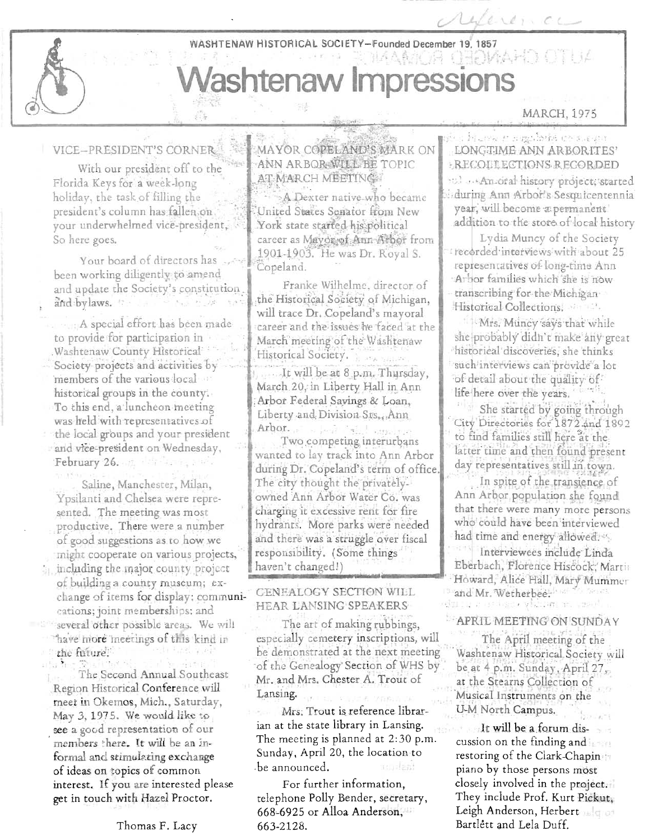#### WASHTENAW HISTORICAL SOCIETY-Founded December 19, 1857

# MAAMOR GEOMAHD OTUA **Washtenaw Impressions**

#### VICE-PRESIDENT'S CORNER

With our president off to the Florida Keys for a week-long holiday, the task of filling the president's column has fallen, on your underwhelmed vice-president, So here goes.

Your board of directors has been working diligently to amend and update the Society's constitution. and bylaws. C.

A special effort has been made to provide for participation in Washtenaw County Historical Society-projects and activities by members of the various local historical groups in the county. To this end, a luncheon meeting was held with representatives of the local groups and your president and vice-president on Wednesday, February 26. 12. March 19

Saline, Manchester, Milan, Ypsilanti and Chelsea were represented. The meeting was most productive. There were a number of good suggestions as to how we might cooperate on various projects, in including the major county project of building a county museum; exchange of items for display; communications; joint memberships; and several other possible areas. We will have more meetings of this kind in the future.

The Second Annual Southeast Region Historical Conference will meet in Okemos, Mich., Saturday, May 3, 1975. We would like to see a good representation of our members there. It will be an informal and stimulating exchange of ideas on topics of common interest. If you are interested please get in touch with Hazel Proctor.

#### Thomas F. Lacy

MAYOR COPELAND'S MARK ON ANN ARBOR WILL BE TOPIC AT MARCH MEETING

 $\frac{1}{2} \sum_{i=1}^{n} \frac{1}{2}$ 

A Dexter native who became United States Senator from New York state started his political career as Mayor of Ann Arbor from 1901-1903. He was Dr. Royal S. Copeland.

Franke Wilhelme, director of the Historical Society of Michigan. will trace Dr. Copeland's mayoral career and the issues he faced at the March meeting of the Washtenaw Historical Society. It will be at 8 p.m. Thursday, March 20, in Liberty Hall in Ann Arbor Federal Savings & Loan, Liberty and Division Sts., Ann Arbor. pr.<br>Two competing interurbans wanted to lay track into Ann Arbor during Dr. Copeland's term of office. The city thought the privatelyowned Ann Arbor Water Co. was charging it excessive rent for fire hydrants. More parks were needed and there was a struggle over fiscal

## **GENEALOGY SECTION WILL** HEAR LANSING SPEAKERS

responsibility. (Some things

haven't changed!)

The art of making rubbings, especially cemetery inscriptions, will be demonstrated at the next meeting of the Genealogy Section of WHS by Mr. and Mrs. Chester A. Trout of Lansing.

Mrs. Trout is reference librarian at the state library in Lansing. The meeting is planned at 2:30 p.m. Sunday, April 20, the location to be announced.

For further information, telephone Polly Bender, secretary, 668-6925 or Alloa Anderson, 663-2128.

## MARCH, 1975

ying Human ruggi bike chalkan LONGTIME ANN ARBORITES' **RECOELECTIONS RECORDED** to a Ancoral history project, started during Ann Arbor's Sesquicentennia year, will become a permanent addition to the store of local history

Ulleren CL

Lydia Muncy of the Society recorded interviews with about 25 representatives of long-time Ann Arbor families which she is now transcribing for the Michigan Historical Collections,

Mrs. Muncy says that while she probably didn't make any great historical discoveries, she thinks such interviews can provide a lot of detail about the quality of life here over the years.

She started by going through City Directories for 1872 and 1892 to find families still here at the latter time and then found present day representatives still in town.

In spite of the transience of Ann Arbor population she found that there were many more persons who could have been interviewed had time and energy allowed. Interviewees include Linda Eberbach, Florence Hiscock, Martin Howard, Alice Hall, Mary Mummer and Mr. Wetherbee. duru e ostasco vicine e.

#### APRIL MEETING ON SUNDAY

The April meeting of the Washtenaw Historical Society will be at 4 p.m. Sunday, April 27, at the Stearns Collection of Musical Instruments on the U-M North Campus.

It will be a forum discussion on the finding and  $\mathbb{R}$ restoring of the Clark-Chapin piano by those persons most closely involved in the project. They include Prof. Kurt Pickut, Leigh Anderson, Herbert Bartlett and Lela Duff.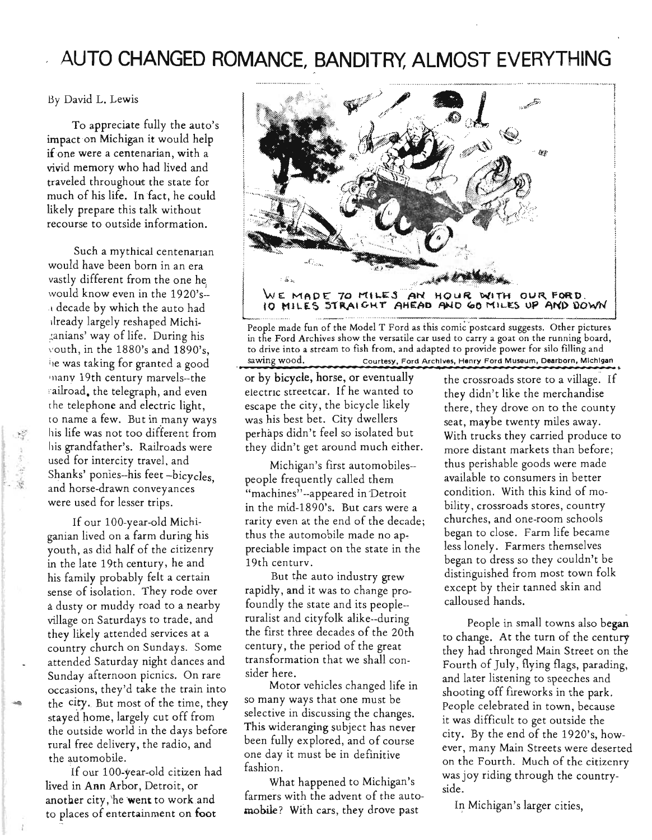# **AUTO CHANGED ROMANCE, BANDITRY, ALMOST EVERYTHING**  ............. .....................•.. \_\_\_ ...... w···.·········· ····· .. · ........... \_ .. .. ,

By David L. Lewis

To appreciate fully the auto's impact on Michigan it would help if one were a centenarian, with a vivid memory who had lived and traveled throughout the state for much of his life. In fact, he could likely prepare this talk without recourse to outside information.

Such a mythical centenarian would have been born in an era vastly different from the one he would know even in the 1920's<sup>l</sup>decade by which the auto had dready largely reshaped Michi- ~a nians' way of life. During his vouth, in the  $1880$ 's and  $1890$ 's, i1e was taking for granted a good many 19th century marvels--the railroad, the telegraph, and even the telephone and electric light, to name a few. But in many ways his life was not too different from his grandfather's. Railroads were used for intercity travel, and Shanks' ponies--his feet -bicycles, and horse-drawn conveyances were used for lesser trips.

If our 100-year-old Michiganian lived on a farm during his youth, as did half of the citizenry in the late 19th century, he and his family probably felt a certain sense of isolation. They rode over a dusty or muddy road to a nearby village on Saturdays to trade, and they likely attended services at a country church on Sundays. Some attended Saturday night dances and Sunday afternoon picnics. On rare occasions, they'd take the train into the city. But most of the time, they stayed home, largely cut off from the outside world in the days before rural free delivery, the radio, and the automobile.

--

If our 100-year-old citizen had lived in Ann Arbor, Detroit, or another city, he went to work and to places of entertainment on foot



People made fun of the Model T Ford as this comic postcard suggests. Other pictures in the Ford Archives show the versatile car used to carry a goat on the running board, to drive into a stream to fish from, and adapted to provide power for silo Hlling and to arive into a stream to fish from, and adapted to provide power for silo filling and<br>sawing wood. Courtesy, Ford Archives, Henry Ford Museum, Dearborn, Michigan<br>or by bicycle, horse, or eventually the crossroads store to

electric streetcar. If he wanted to they didn't like the merchandise escape the city, the bicycle likely  $\qquad \qquad$  there, they drove on to the county was his best bet. City dwellers seat, maybe twenty miles away. they didn't get around much either. more distant markets than before;

people frequently called them available to consumers in better "machines"-appeared in Detroit condition. With this kind of moin the mid-1890's. But cars were a bility, crossroads stores, country rarity even at the end of the decade; churches, and one-room schools thus the automobile made no ap-<br>began to close. Farm life became preciable impact on the state in the less lonely. Farmers themselves 19th centurv. began to dress so they couldn't be

rapidly, and it was to change pro- except by their tanned skin and foundly the state and its people-- calloused hands. ruralist and cityfolk alike--during the first three decades of the 20th century, the period of the great transformation that we shall consider here.

Motor vehicles changed life in so many ways that one must be selective in discussing the changes. This wideranging subject has never been fully explored, and of course one day it must be in definitive fashion.

What happened to Michigan's farmers with the advent of the automohile? With cars, they drove past

perhaps didn't feel so isolated but With trucks they carried produce to Michigan's first automobiles-- thus perishable goods were made But the auto industry grew distinguished from most town folk

> People in small towns also began to change. At the turn of the century they had thronged Main Street on the Fourth of July, flying flags, parading, and later listening to speeches and shooting off fireworks in the park. People celebrated in town, because it was difficult to get outside the city. By the end of the 1920's, however, many Main Streets were deserted on the Fourth. Much of the citizenry was joy riding through the countryside.

In Michigan's larger cities,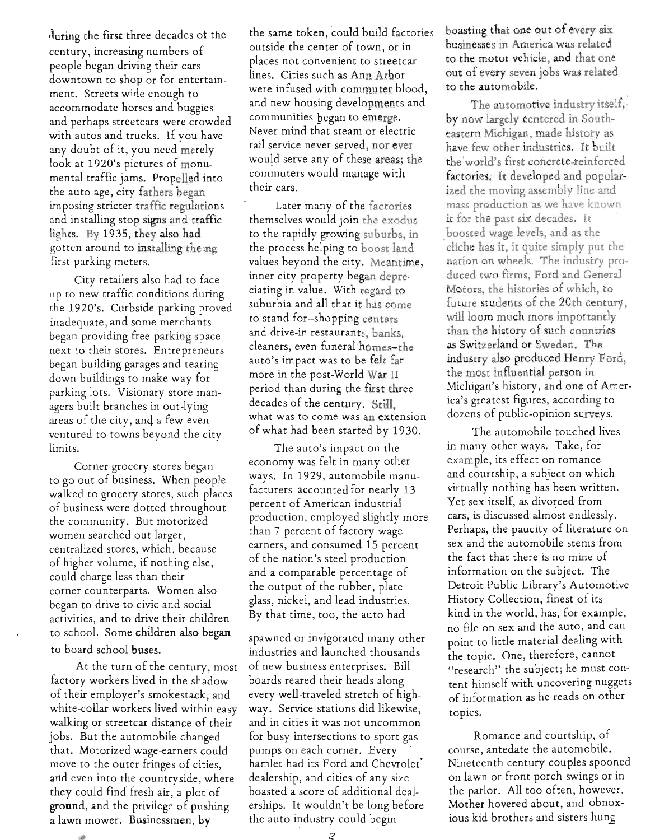during the first three decades of the century, increasing numbers of people began driving their cars downtown to shop or for entertainment. Streets wide enough to . accommodate horses and buggies and perhaps streetcars were crowded with autos and trucks. If you have any doubt of it, you need merely look at 1920's pictures of monumental traffic jams. Propelled into the auto age, city fathers began imposing stricter traffic regulations and installing stop signs and traffic lights. By 1935, they also had gotten around to installing the:ng first parking meters.

City retailers also had to face up to new traffic conditions during the 1920's. Curbside parking proved inadequate, and some merchants began providing free parking space next to their stores. Entrepreneurs began building garages and tearing down buildings to make way for parking lots. Visionary store managers built branches in out-lying areas of the city, anq a few even ventured to towns beyond the city limits.

Corner grocery stores began to go out of business. When people walked to grocery stores, such places of business were dotted throughout the community. But motorized women searched out larger, centralized stores, which, because of higher volume, if nothing else, could charge less than their corner counterparts. Women also began to drive to civic and social activities, and to drive their children to school. Some children also began to board school buses.

At the turn of the century, most factory workers lived in the shadow of their employer's smokestack, and white-collar workers lived within easy walking or streetcar distance of their jobs. But the automobile changed that. Motorized wage-earners could move to the outer fringes of cities, and even into the countryside, where they could find fresh air, a plot of ground, and the privilege of pushing a lawn mower. Businessmen, by

 $\mathcal{B}$ 

the same token, could build factories outside the center of town, or in places not convenient to streetcar lines. Cities such as Ann Arbor were infused with commuter blood, and new housing developments and communities began to emerge. Never mind that steam or electric rail service never served, nor ever would serve any of these areas; the commuters would manage with their cars.

Later many of the factories themselves would join the exodus to the rapidly-growing suburbs, in the process helping to boost land values beyond the city. Meantime, inner city property began depreciating in value. With regard to suburbia and all that it has come to stand for-shopping centers and drive-in restaurants, banks, cleaners, even funeral homes-the auto's impact was to be felt far more in the post-World War II period than during the first three decades of the century. Still, what was to come was an extension of what had been started by 1930.

The auto's impact on the economy was felt in many other ways. In 1929, automobile manufacturers accounted for nearly 13 percent of American industrial production, employed slightly more than 7 percent of factory wage earners, and consumed 15 percent of the nation's steel production and a comparable percentage of the output of the rubber, plate glass, nickel, and lead industries. By that time, too, the auto had

spawned or invigorated many other industries and launched thousands of new business enterprises. Billboards reared their heads along every well-traveled stretch of highway. Service stations did likewise, and in cities it was not uncommon for busy intersections to sport gas pumps on each corner. Every hamlet had its Ford and Chevrolet' dealership, and cities of any size boasted a score of additional dealerships. It wouldn't be long before the auto industry could begin

boasting that one out of every six businesses in America was related to the motor vehicle, and that one out of every seven jobs was related to the automobile.

The automotive industry itself, by now largely centered in Southeastern Michigan, made history as have few other industries. It built the 'world's first concrete-reinforced factories. It developed and popularized the moving assembly line and mass praduction as we have known it for the past six decades. It boosted wage levels, and as the cliche has it, it quite simply put the nation on wheels. The industry produced two firms, Ford and General Motors, the histories of which, to future students of the 20th century, will loom much more importantly than the history of such countries as Switzerland or Sweden. The industry also produced Henry Ford, the most influential person in Michigan's history, and one of America's greatest figures, according to dozens of public-opinion surveys.

The automobile touched lives in many other ways. Take, for example, its effect on romance and courtship, a subject on which virtually nothing has been written. Yet sex itself, as divorced from cars, is discussed almost endlessly. Perhaps, the paucity of literature on sex and the automobile stems from the fact that there is no mine of information on the subject. The Detroit Public Library's Automotive History Collection, finest of its kind in the world, has, for example, 'no file 'on sex and the auto, and can point to little material dealing with the topic. One, therefore, cannot "research" the subject; he must content himself with uncovering nuggets of information as he reads on other topics.

Romance and courtship, of course, antedate the automobile. Nineteenth century couples spooned on lawn or front porch swings or in the parlor. All too often, however, Mother hovered about, and obnoxious kid brothers and sisters hung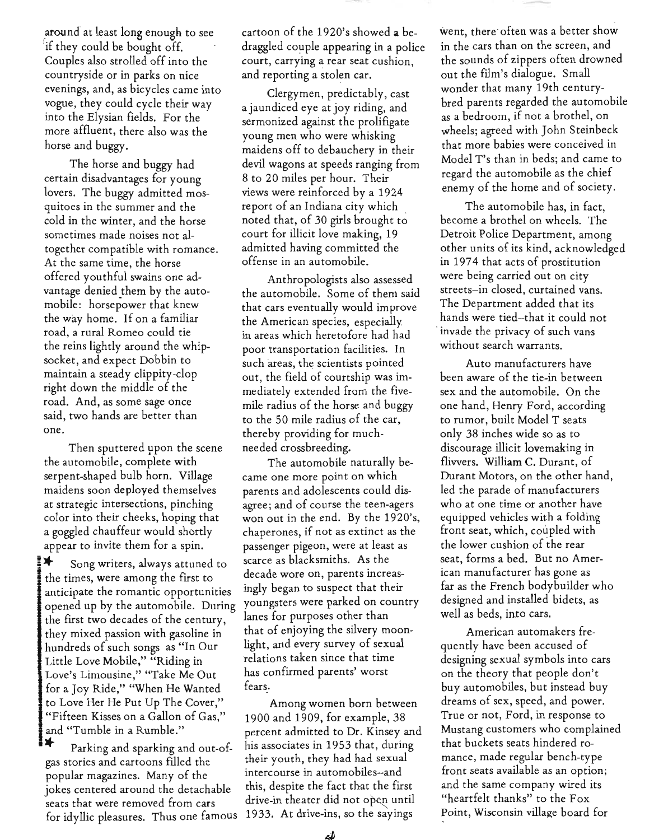raround at least long enough to see if they could be bought off. . Couples also strolled off into the countryside or in parks on nice evenings, and, as bicycles came into vogue, they could cycle their way into the Elysian fields. For the more affluent, there also was the horse and buggy.

The horse and buggy had certain disadvantages for young lovers. The buggy admitted mosquitoes in the summer and the cold in the winter, and the horse sometimes made noises not altogether compatible with romance. At the same time, the horse offered youthful swains one advantage denied them by the automobile: horsepower that knew the way home. If on a familiar road. a rural Romeo could tie the reins lightly around the whipsocket, and expect Dobbin to maintain a steady clippity-clop right down the middle of the road. And, as some sage once said, two hands are better than one.

Then sputtered upon the scene needed crossbreeding. the automobile, complete with The automobile naturally beserpent-shaped bulb horn. Village came one more point on which maidens soon deployed themselves parents and adolescents could disat strategic intersections, pinching agree; and of course the teen-agers color into their cheeks, hoping that won out in the end. By the 1920's, a goggled chauffeur would shortly chaperones, if not as extinct as the appear to invite them for a spin. passenger pigeon, were at least as

the times, were among the first to decade wore on, parents increas-<br>anticipate the comantic opportunities ingly began to suspect that their anticipate the romantic opportunities ingly began to suspect that their<br>opened up by the automobile. During youngsters were parked on country opened up by the automobile. During youngsters were parked on country<br>the first two decades of the century lanes for purposes other than the first two decades of the century, they mixed passion with gasoline  $\sin$  that of enjoying the silvery moon-<br>hundreds of such songs, as "In Our light, and every survey of sexual hundreds of such songs as "In Our light, and every survey of sexu<br>Little Love Mobile " "Riding in light relations taken since that time Little Love Mobile," "Riding in Love's Limousine," "Take Me Out has confirmed parents' worst for a Joy Ride," "When He Wanted fears. to Love Her He Put Up The Cover," Among women born between "Fifteen Kisses on a Gallon of Gas," 1900 and 1909, for example, 38

gas stories and cartoons filled the popular magazines. Many of the intercourse in automobiles-and<br>intercontered around the detachable this, despite the fact that the first jokes centered around the detachable seats that were removed from cars drive-in theater did not open until for idyllic pleasures. Thus one famous 1933. At drive-ins, so the sayings

cartoon of the 1920's showed a bedraggled couple appearing in a police court, carrying a rear seat cushion, and reporting a stolen car.

Clergymen, predictably, cast a jaundiced eye at joy riding, and sermonized against the prolifigate young men who were whisking maidens off to debauchery in their devil wagons at speeds ranging from 8 to 20 miles per hour. Their views were reinforced by a 1924 report of an Indiana city which . noted that, of 30 girls brought to court for illicit love making, 19 admitted having committed the offense in an automobile.

Anthropologists also assessed the automobile. Some of them said that cars eventually would improve the American species, especially in areas which heretofore had had poor transportation facilities. In such areas, the scientists pointed out, the field of courtship was immediately extended from the fivemile radius of the horse and buggy to the 50 mile radius of the car, thereby providing for much-

Song writers, always attuned to scarce as blacksmiths. As the state as the scarce as decade wore on, parents increas-

and "Tumble in a Rumble." percent admitted to Dr. Kinsey and<br>
\*\* Parking and sparking and out-of- his associates in 1953 that, during<br>
gas stories and cartoons filled the their youth, they had had sexual

went, there· often was a better show in the cars than on the screen, and the sounds of zippers often drowned out the film's dialogue. Small wonder that many 19th centurybred parents regarded the automobile as a bedroom, if not a brothel, on wheels; agreed with John Steinbeck that more babies were conceived in Model T's than in beds; and came to regard the automobile as the chief enemy of the home and of society.

The automobile has, in fact, become a brothel on wheels. The Detroit Police Department, among other units of its kind, acknowledged in 1974 that acts of prostitution were being carried out on city streets-in closed, curtained vans. The Department added that its hands were tied-that it could not . invade the privacy of such vans without search warrants.

Auto manufacturers have been aware of the tie-in between sex and the automobile. On the one hand, Henry Ford, according to rumor, built Model T seats only 38 inches wide so as to discourage illicit lovemaking in flivvers. William C. Durant, of Durant Motors, on the other hand, led the parade of manufacturers who at one time or another have equipped vehicles with a folding front seat, which, coupled with the lower cushion of the rear seat, forms a bed. But no American manufacturer has gone as far as the French bodybuilder who designed and installed bidets, as well as beds, into cars.

American automakers frequently have been accused of designing sexual symbols into cars on the theory that people don't buy automobiles, but instead buy dreams of sex, speed, and power. True or not, Ford, in response to Mustang customers who complained that buckets seats hindered romance, made regular bench-type front seats available as an option; and the same company wired its "heartfelt thanks" to the Fox Point, Wisconsin village board for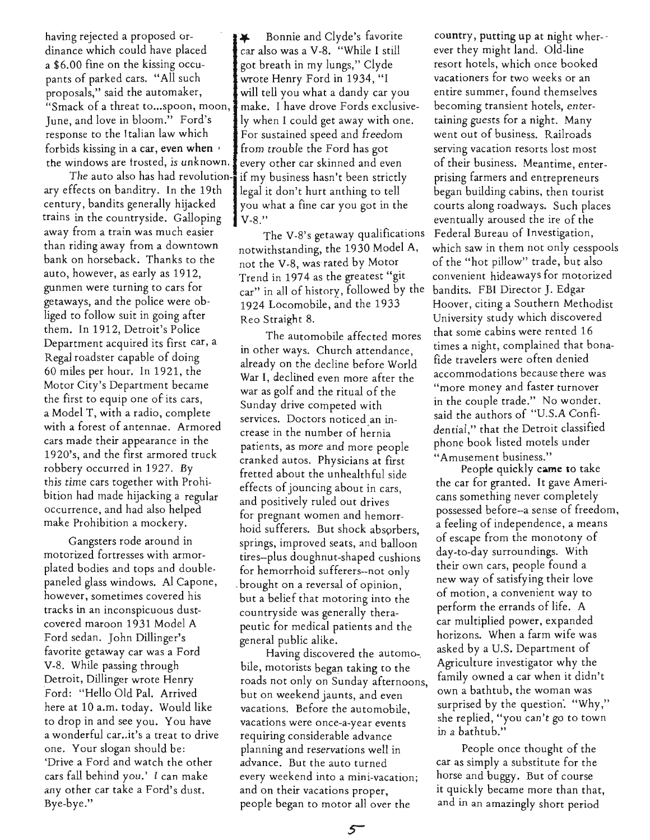having rejected a proposed or- $\bullet \bullet \bullet$  Bonnie and Clyde's favorite dinance which could have placed car also was a V-8. "While I still a \$6.00 fine on the kissing occu-  $\int$  got breath in my lungs," Clyde pants of parked cars. "All such wrote Henry Ford in 1934, "I proposals," said the automaker, will tell you what a dandy car you "Smack of a threat to... spoon, moon, make. I have drove Fords exclusive-Iune, and love in bloom." Ford's  $\parallel$  ly when I could get away with one. response to the Italian law which For sustained speed and freedom forbids kissing in a car, even when  $\cdot$  from trouble the Ford has got the windows are trosted, is unknown. every other car skinned and even

ary effects on banditry. In the 19th  $\parallel$  legal it don't hurt anthing to tell century, bandits generally hijacked  $\parallel$  you what a fine car you got in the trains in the countryside. Galloping <u>v</u>-8." bank on horseback. Thanks to the not the V-8, was rated by Motor auto, however, as early as 1912, Trend in 1974 as the greatest "git getaways, and the police were ob-  $1924$  Locomobile, and the 1933 liged to follow suit in going after  $R_{\text{eo Straight}}$  8. them. In 1912, Detroit's Police Department acquired its first car, a Regal roadster capable of doing 60 miles per hour. In 1921, the Motor City's Department became the first to equip one of its cars, a Model T, with a radio, complete with a forest of antennae. Armored cars made their appearance in the 1920's. and the first armored truck robbery occurred in 1927. By this time cars together with Prohibition had made hijacking a regular occurrence, and had also helped make Prohibition a mockery.

Gangsters rode around in motorized fortresses with armorplated bodies and tops and doublepaneled glass windows. Al Capone, however, sometimes covered his tracks in an inconspicuous dustcovered maroon 1931 Model A Ford sedan. John Dillinger's favorite getaway car was a Ford V-8. While passing through Detroit, Dillinger wrote Henry Ford: "Hello Old Pal. Arrived here at 10 a.m. today. Would like . to drop in and see you. You have a wonderful car..it's a treat to drive one. Your slogan should be: 'Drive a Ford and watch the other cars fall behind you.' I can make any other car take a Ford's dust. Bye-bye."

The auto also has had revolution-i if my business hasn't been strictly

away from a train was much easier The V-8's getaway qualifications than riding away from a downtown notwithstanding, the 1930 Model A, gunmen were turning to cars for  $_{car}$ " in all of history, followed by the

> The automobile affected mores in other ways. Church attendance, already on the decline before World War I, declined even more after the war as golf and the ritual of the Sunday drive competed with services. Doctors noticed an increase in the number of hernia patients, as more and more people cranked autos. Physicians at first fretted about the unhealthful side effects of jouncing about in cars, and positively ruled out drives for pregnant women and hemorrhoid sufferers. But shock absorbers, springs, improved seats, and balloon tires-plus doughnut-shaped cushions for hemorrhoid sufferers--not only . brought on a reversal of opinion, but a belief that motoring into the countryside was generally therapeutic for medical patients and the general public alike.

Having discovered the automo-, bile, motorists began taking to the roads not only on Sunday afternoons, but on weekend jaunts, and even vacations. Before the automobile, vacations were once-a-year events requiring considerable advance planning and reservations well in advance. But the auto turned every weekend into a mini-vacation; and on their vacations proper, people began to motor all over the

country, putting up at night wher- ever they might land. Old-line resort hotels, which once booked vacationers for two weeks or an entire summer, found themselves becoming transient hotels, entertaining guests for a night. Many went out of business. Railroads serving vacation resorts lost most of their business. Meantime, enterprising farmers and entrepreneurs began building cabins, then tourist courts along roadways. Such places eventually aroused the ire of the Federal Bureau of Investigation, which saw in them not only cesspools of the "hot pillow" trade, but also convenient hideaways for motorized bandits. FBI Director J. Edgar Hoover, citing a Southern Methodist University study which discovered that some cabins were rented 16 times a night, complained that bonafide travelers were often denied accommodations because there was "more money and faster turnover in the couple trade." No wonder. said the authors of "U.S.A Confidential," that the Detroit classified phone book listed motels under "Amusement business."

Peopie quickly came to take the car for granted. It gave Americans something never completely possessed before--a sense of freedom, a feeling of independence, a means of escape from the monotony of day-to-day surroundings. With their own cars, people found a new way of satisfying their love of motion, a convenient way to perform the errands of life. A car multiplied power, expanded horizons. When a farm wife was asked by a U.S. Department of Agriculture investigator why the family owned a cat when it didn't own a bathtub, the woman was surprised by the question. "Why," she replied, "you can't go to town in a bathtub."

People once thought of the car as simply a substitute for the horse and buggy. But of course it quickly became more than that, and in an amazingly short period

 $5^{-}$